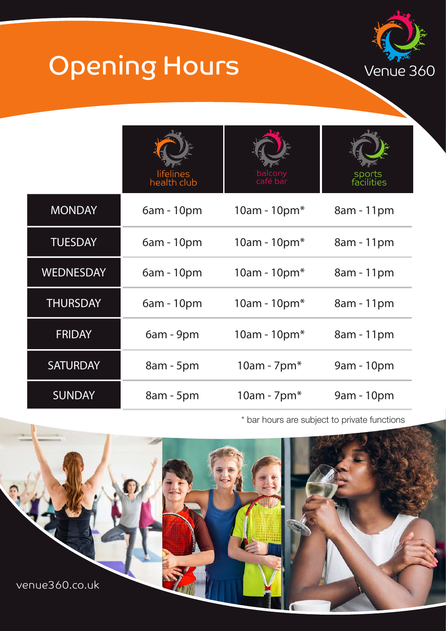

## Opening Hours

|                  | lifelines<br>health club | balcony<br>café bar | sports<br>facilities |
|------------------|--------------------------|---------------------|----------------------|
| <b>MONDAY</b>    | $6am - 10pm$             | 10am - 10 $pm*$     | 8am - 11pm           |
| <b>TUESDAY</b>   | 6am - 10pm               | 10am - 10 $pm*$     | 8am - 11pm           |
| <b>WEDNESDAY</b> | $6am - 10pm$             | 10am - 10 $pm*$     | 8am - 11pm           |
| <b>THURSDAY</b>  | $6am - 10pm$             | 10am - 10 $pm*$     | 8am - 11pm           |
| <b>FRIDAY</b>    | 6am - 9pm                | 10am - 10 $pm*$     | 8am - 11pm           |
| <b>SATURDAY</b>  | $8am - 5pm$              | $10am - 7pm*$       | 9am - 10pm           |
| <b>SUNDAY</b>    | 8am - 5pm                | $10am - 7pm*$       | 9am - 10pm           |

\* bar hours are subject to private functions